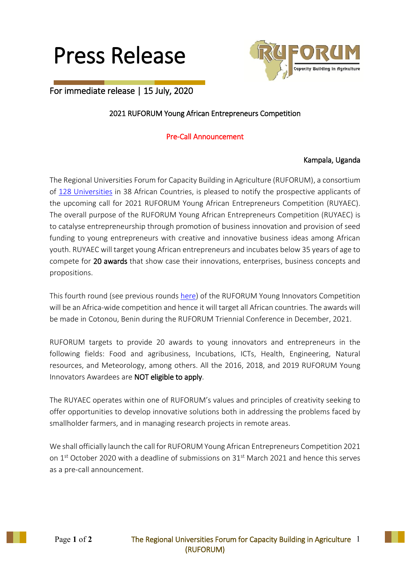



# For immediate release | 15 July, 2020

## 2021 RUFORUM Young African Entrepreneurs Competition

## Pre-Call Announcement

#### Kampala, Uganda

The Regional Universities Forum for Capacity Building in Agriculture (RUFORUM), a consortium of 128 [Universities](http://www.ruforum.org/our-member-universities) in 38 African Countries, is pleased to notify the prospective applicants of the upcoming call for 2021 RUFORUM Young African Entrepreneurs Competition (RUYAEC). The overall purpose of the RUFORUM Young African Entrepreneurs Competition (RUYAEC) is to catalyse entrepreneurship through promotion of business innovation and provision of seed funding to young entrepreneurs with creative and innovative business ideas among African youth. RUYAEC will target young African entrepreneurs and incubates below 35 years of age to compete for 20 awards that show case their innovations, enterprises, business concepts and propositions.

This fourth round (see previous rounds [here\)](http://www.ruforum.org/younginnovators/) of the RUFORUM Young Innovators Competition will be an Africa-wide competition and hence it will target all African countries. The awards will be made in Cotonou, Benin during the RUFORUM Triennial Conference in December, 2021.

RUFORUM targets to provide 20 awards to young innovators and entrepreneurs in the following fields: Food and agribusiness, Incubations, ICTs, Health, Engineering, Natural resources, and Meteorology, among others. All the 2016, 2018, and 2019 RUFORUM Young Innovators Awardees are NOT eligible to apply.

The RUYAEC operates within one of RUFORUM's values and principles of creativity seeking to offer opportunities to develop innovative solutions both in addressing the problems faced by smallholder farmers, and in managing research projects in remote areas.

We shall officially launch the call for RUFORUM Young African Entrepreneurs Competition 2021 on 1<sup>st</sup> October 2020 with a deadline of submissions on 31<sup>st</sup> March 2021 and hence this serves as a pre-call announcement.